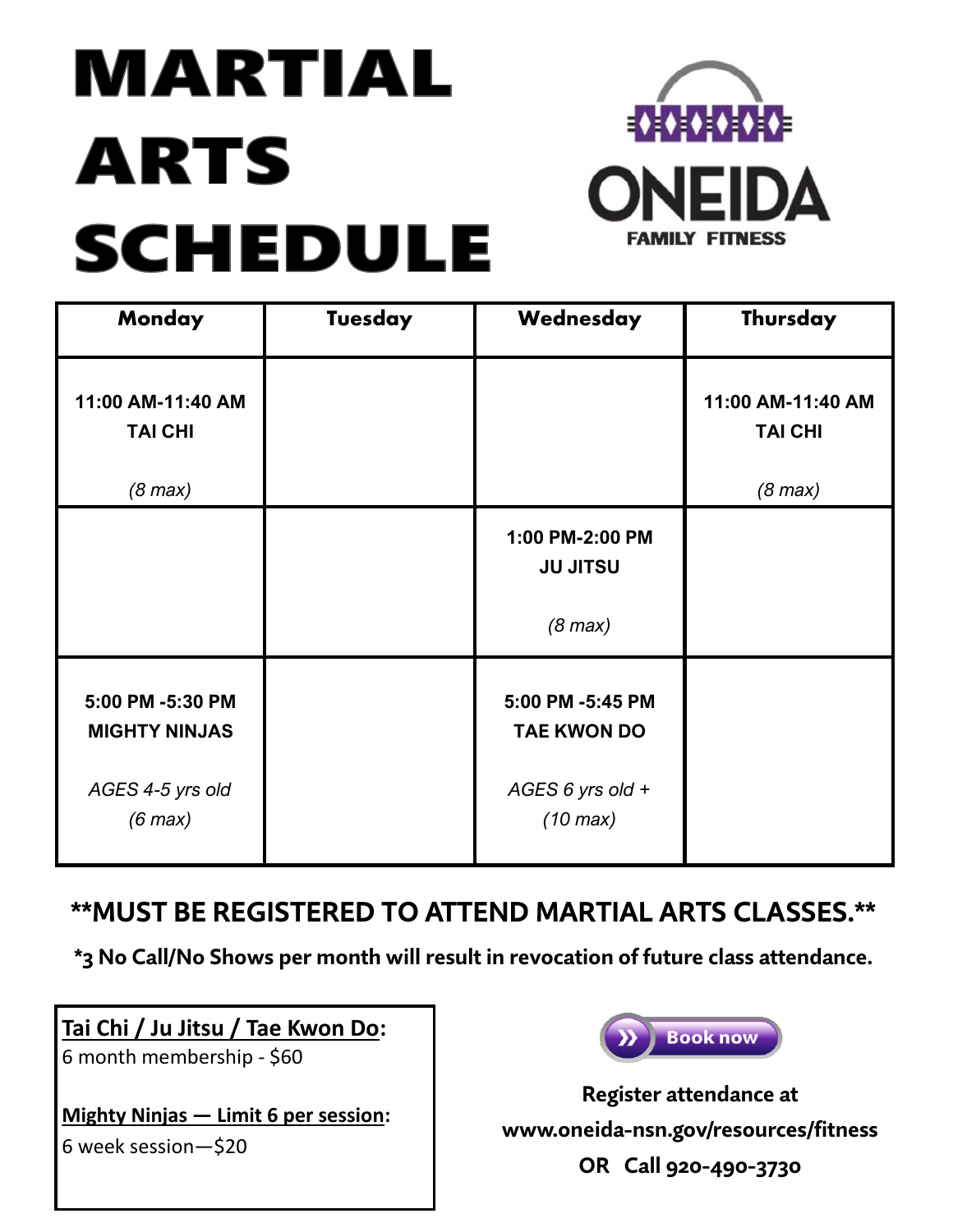# MARTIAL **ARTS SCHEDULE**



| Monday                                                   | Tuesday | Wednesday                              | Thursday                                         |
|----------------------------------------------------------|---------|----------------------------------------|--------------------------------------------------|
| 11:00 AM-11:40 AM<br><b>TAI CHI</b><br>$(8 \text{ max})$ |         |                                        | 11:00 AM-11:40 AM<br><b>TAI CHI</b><br>$(8$ max) |
|                                                          |         |                                        |                                                  |
|                                                          |         | 1:00 PM-2:00 PM<br><b>JU JITSU</b>     |                                                  |
|                                                          |         | $(8 \text{ max})$                      |                                                  |
| 5:00 PM -5:30 PM<br><b>MIGHTY NINJAS</b>                 |         | 5:00 PM -5:45 PM<br><b>TAE KWON DO</b> |                                                  |
| AGES 4-5 yrs old<br>$(6 \text{ max})$                    |         | AGES 6 yrs old +<br>$(10 \text{ max})$ |                                                  |

## **\*\*MUST BE REGISTERED TO ATTEND MARTIAL ARTS CLASSES.\*\***

**\*3 No Call/No Shows per month will result in revocation of future class attendance.**

### **Tai Chi / Ju Jitsu / Tae Kwon Do:**

6 month membership - \$60

**Mighty Ninjas — Limit 6 per session:**

6 week session—\$20



**Register attendance at www.oneida-nsn.gov/resources/fitness OR Call 920-490-3730**